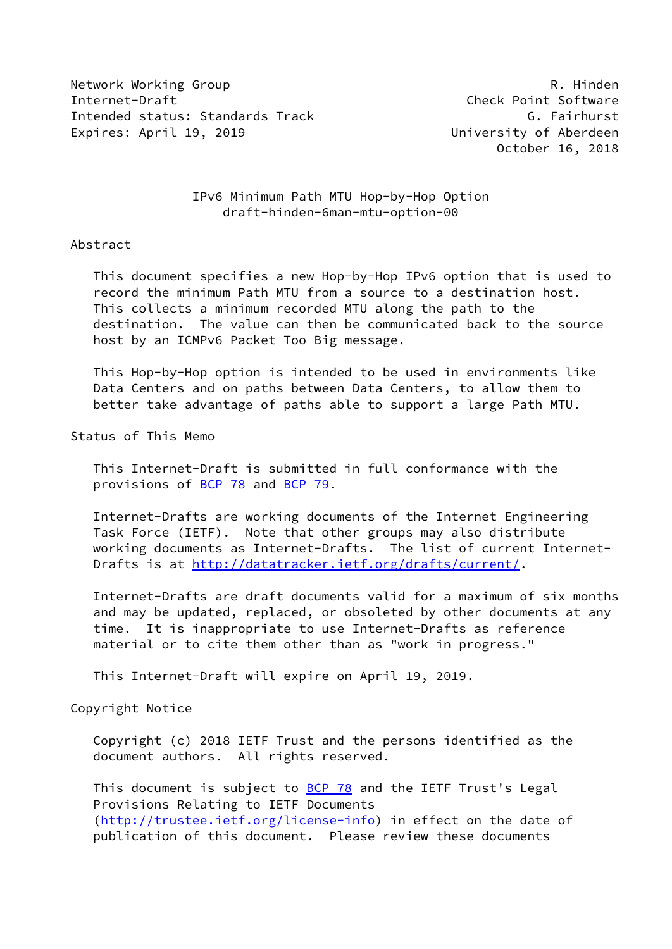Network Working Group **R. Hinden** Internet-Draft Check Point Software Intended status: Standards Track G. Fairhurst Expires: April 19, 2019 University of Aberdeen

October 16, 2018

## IPv6 Minimum Path MTU Hop-by-Hop Option draft-hinden-6man-mtu-option-00

## Abstract

 This document specifies a new Hop-by-Hop IPv6 option that is used to record the minimum Path MTU from a source to a destination host. This collects a minimum recorded MTU along the path to the destination. The value can then be communicated back to the source host by an ICMPv6 Packet Too Big message.

 This Hop-by-Hop option is intended to be used in environments like Data Centers and on paths between Data Centers, to allow them to better take advantage of paths able to support a large Path MTU.

Status of This Memo

 This Internet-Draft is submitted in full conformance with the provisions of [BCP 78](https://datatracker.ietf.org/doc/pdf/bcp78) and [BCP 79](https://datatracker.ietf.org/doc/pdf/bcp79).

 Internet-Drafts are working documents of the Internet Engineering Task Force (IETF). Note that other groups may also distribute working documents as Internet-Drafts. The list of current Internet- Drafts is at<http://datatracker.ietf.org/drafts/current/>.

 Internet-Drafts are draft documents valid for a maximum of six months and may be updated, replaced, or obsoleted by other documents at any time. It is inappropriate to use Internet-Drafts as reference material or to cite them other than as "work in progress."

This Internet-Draft will expire on April 19, 2019.

Copyright Notice

 Copyright (c) 2018 IETF Trust and the persons identified as the document authors. All rights reserved.

This document is subject to **[BCP 78](https://datatracker.ietf.org/doc/pdf/bcp78)** and the IETF Trust's Legal Provisions Relating to IETF Documents [\(http://trustee.ietf.org/license-info](http://trustee.ietf.org/license-info)) in effect on the date of publication of this document. Please review these documents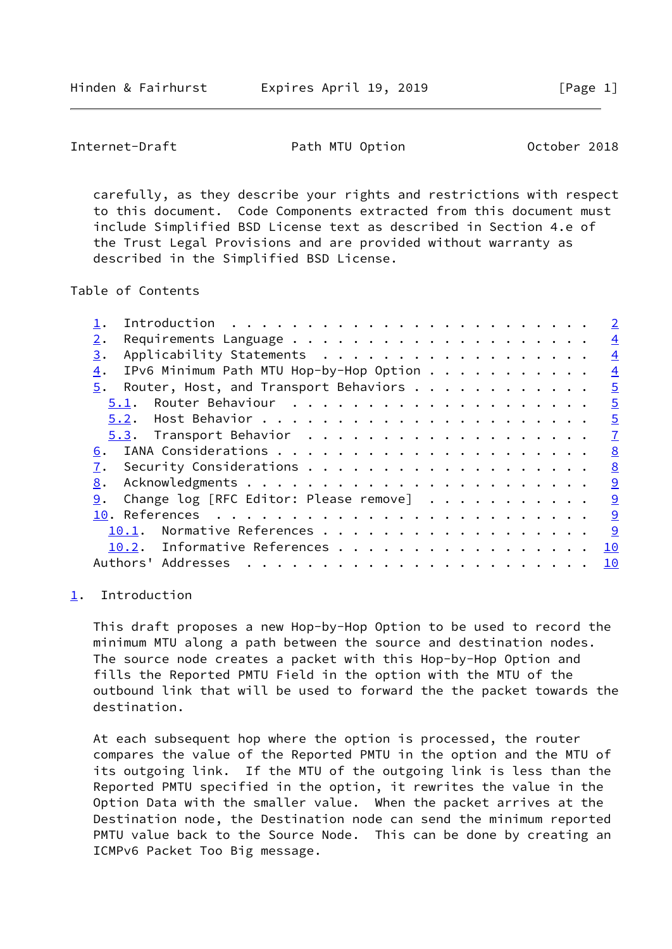<span id="page-1-1"></span>Internet-Draft **Path MTU Option** Path MTU Option October 2018

 carefully, as they describe your rights and restrictions with respect to this document. Code Components extracted from this document must include Simplified BSD License text as described in Section 4.e of the Trust Legal Provisions and are provided without warranty as described in the Simplified BSD License.

Table of Contents

|                                               | $\overline{2}$ |
|-----------------------------------------------|----------------|
| 2.                                            | $\overline{4}$ |
| Applicability Statements<br>3.                | $\overline{4}$ |
| IPv6 Minimum Path MTU Hop-by-Hop Option<br>4. | $\overline{4}$ |
| Router, Host, and Transport Behaviors<br>5.   | $\overline{5}$ |
| 5.1.                                          | $\overline{5}$ |
|                                               | $\overline{5}$ |
|                                               | $\mathcal{I}$  |
| 6.                                            | 8              |
|                                               | 8              |
| 8.                                            | 9              |
| Change log [RFC Editor: Please remove]<br>9.  | 9              |
|                                               | 9              |
| Normative References<br>10.1.                 | <u>  ୨</u>     |
| 10.2. Informative References                  | 10             |
| Authors' Addresses                            | 10             |
|                                               |                |

## <span id="page-1-0"></span>[1](#page-1-0). Introduction

 This draft proposes a new Hop-by-Hop Option to be used to record the minimum MTU along a path between the source and destination nodes. The source node creates a packet with this Hop-by-Hop Option and fills the Reported PMTU Field in the option with the MTU of the outbound link that will be used to forward the the packet towards the destination.

 At each subsequent hop where the option is processed, the router compares the value of the Reported PMTU in the option and the MTU of its outgoing link. If the MTU of the outgoing link is less than the Reported PMTU specified in the option, it rewrites the value in the Option Data with the smaller value. When the packet arrives at the Destination node, the Destination node can send the minimum reported PMTU value back to the Source Node. This can be done by creating an ICMPv6 Packet Too Big message.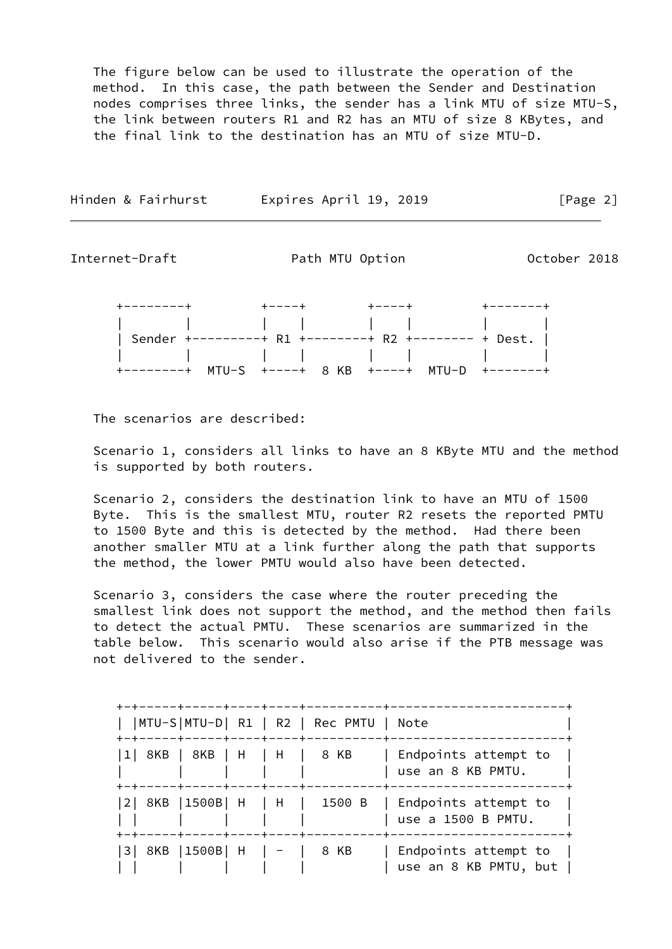The figure below can be used to illustrate the operation of the method. In this case, the path between the Sender and Destination nodes comprises three links, the sender has a link MTU of size MTU-S, the link between routers R1 and R2 has an MTU of size 8 KBytes, and the final link to the destination has an MTU of size MTU-D.

| Hinden & Fairhurst | Expires April 19, 2019 | [Page 2] |
|--------------------|------------------------|----------|
|                    |                        |          |

Internet-Draft **Path MTU Option** Path MTU Option October 2018

 +--------+ +----+ +----+ +-------+ | | | | | | | | | Sender +---------+ R1 +--------+ R2 +-------- + Dest. | | | | | | | | | +--------+ MTU-S +----+ 8 KB +----+ MTU-D +-------+

The scenarios are described:

 Scenario 1, considers all links to have an 8 KByte MTU and the method is supported by both routers.

 Scenario 2, considers the destination link to have an MTU of 1500 Byte. This is the smallest MTU, router R2 resets the reported PMTU to 1500 Byte and this is detected by the method. Had there been another smaller MTU at a link further along the path that supports the method, the lower PMTU would also have been detected.

 Scenario 3, considers the case where the router preceding the smallest link does not support the method, and the method then fails to detect the actual PMTU. These scenarios are summarized in the table below. This scenario would also arise if the PTB message was not delivered to the sender.

| 1  8KB   8KB   H   H   8 KB<br>+-+-----+-----+----+----+----- |  | Endpoints attempt to<br>use an 8 KB PMTU.<br>------+--------------                                             |
|---------------------------------------------------------------|--|----------------------------------------------------------------------------------------------------------------|
|                                                               |  | $\begin{bmatrix} 2 & 8KB & 1500B & H & H & 1500B & F \end{bmatrix}$ Endpoints attempt to<br>use a 1500 B PMTU. |
| 3  8KB  1500B  H    -     8 KB                                |  | Endpoints attempt to<br>use an 8 KB PMTU, but                                                                  |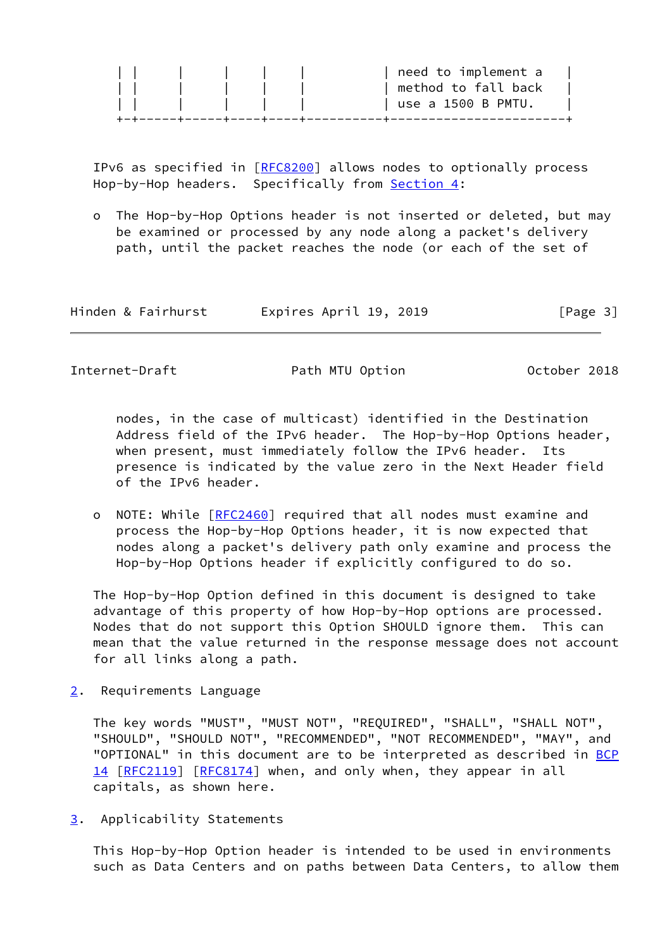|  |                                     |  | need to implement a    |
|--|-------------------------------------|--|------------------------|
|  |                                     |  | method to fall back    |
|  | and the contract of the contract of |  | $ $ use a 1500 B PMTU. |
|  |                                     |  |                        |

 IPv6 as specified in [\[RFC8200](https://datatracker.ietf.org/doc/pdf/rfc8200)] allows nodes to optionally process Hop-by-Hop headers. Specifically from [Section 4:](#page-4-0)

 o The Hop-by-Hop Options header is not inserted or deleted, but may be examined or processed by any node along a packet's delivery path, until the packet reaches the node (or each of the set of

| Hinden & Fairhurst | Expires April 19, 2019 | [Page 3] |
|--------------------|------------------------|----------|
|--------------------|------------------------|----------|

<span id="page-3-1"></span>Internet-Draft **Path MTU Option** Path MTU Option October 2018

 nodes, in the case of multicast) identified in the Destination Address field of the IPv6 header. The Hop-by-Hop Options header, when present, must immediately follow the IPv6 header. Its presence is indicated by the value zero in the Next Header field of the IPv6 header.

 o NOTE: While [\[RFC2460](https://datatracker.ietf.org/doc/pdf/rfc2460)] required that all nodes must examine and process the Hop-by-Hop Options header, it is now expected that nodes along a packet's delivery path only examine and process the Hop-by-Hop Options header if explicitly configured to do so.

 The Hop-by-Hop Option defined in this document is designed to take advantage of this property of how Hop-by-Hop options are processed. Nodes that do not support this Option SHOULD ignore them. This can mean that the value returned in the response message does not account for all links along a path.

<span id="page-3-0"></span>[2](#page-3-0). Requirements Language

 The key words "MUST", "MUST NOT", "REQUIRED", "SHALL", "SHALL NOT", "SHOULD", "SHOULD NOT", "RECOMMENDED", "NOT RECOMMENDED", "MAY", and "OPTIONAL" in this document are to be interpreted as described in [BCP](https://datatracker.ietf.org/doc/pdf/bcp14) [14](https://datatracker.ietf.org/doc/pdf/bcp14) [[RFC2119\]](https://datatracker.ietf.org/doc/pdf/rfc2119) [\[RFC8174](https://datatracker.ietf.org/doc/pdf/rfc8174)] when, and only when, they appear in all capitals, as shown here.

<span id="page-3-2"></span>[3](#page-3-2). Applicability Statements

 This Hop-by-Hop Option header is intended to be used in environments such as Data Centers and on paths between Data Centers, to allow them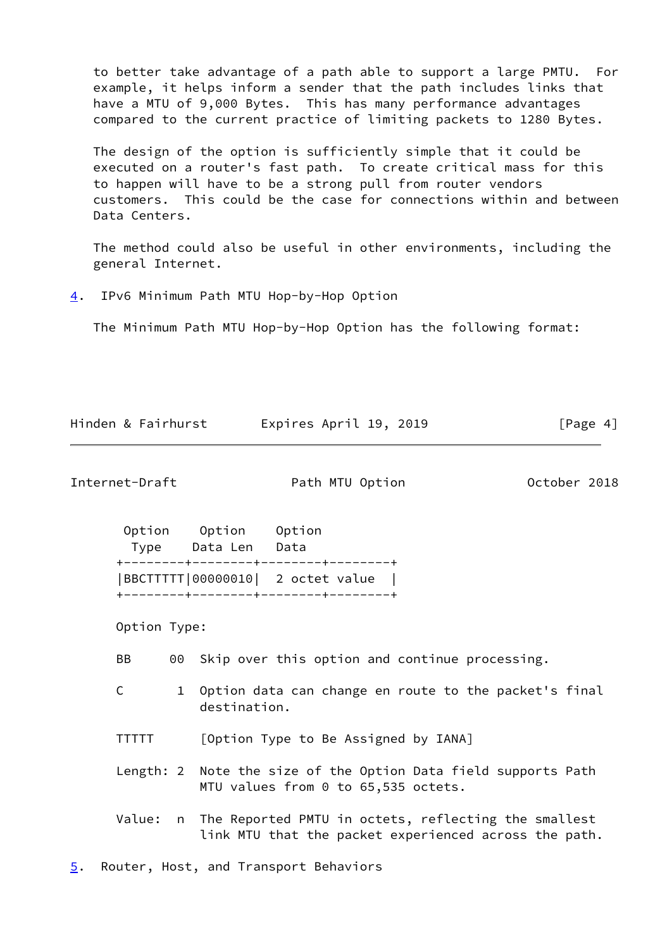to better take advantage of a path able to support a large PMTU. For example, it helps inform a sender that the path includes links that have a MTU of 9,000 Bytes. This has many performance advantages compared to the current practice of limiting packets to 1280 Bytes.

 The design of the option is sufficiently simple that it could be executed on a router's fast path. To create critical mass for this to happen will have to be a strong pull from router vendors customers. This could be the case for connections within and between Data Centers.

 The method could also be useful in other environments, including the general Internet.

<span id="page-4-0"></span>[4](#page-4-0). IPv6 Minimum Path MTU Hop-by-Hop Option

The Minimum Path MTU Hop-by-Hop Option has the following format:

Hinden & Fairhurst Expires April 19, 2019 [Page 4]

<span id="page-4-2"></span>Internet-Draft **Path MTU Option** Path MTU Option October 2018

| Option | Option                             | Option |  |
|--------|------------------------------------|--------|--|
| Type   | Data Len                           | Data   |  |
|        | +--------+--------+--------+------ |        |  |
|        | BBCTTTTT 00000010  2 octet value   |        |  |
|        |                                    |        |  |

Option Type:

BB 00 Skip over this option and continue processing.

- C 1 Option data can change en route to the packet's final destination.
- TTTTT [Option Type to Be Assigned by IANA]

 Length: 2 Note the size of the Option Data field supports Path MTU values from 0 to 65,535 octets.

 Value: n The Reported PMTU in octets, reflecting the smallest link MTU that the packet experienced across the path.

<span id="page-4-1"></span>[5](#page-4-1). Router, Host, and Transport Behaviors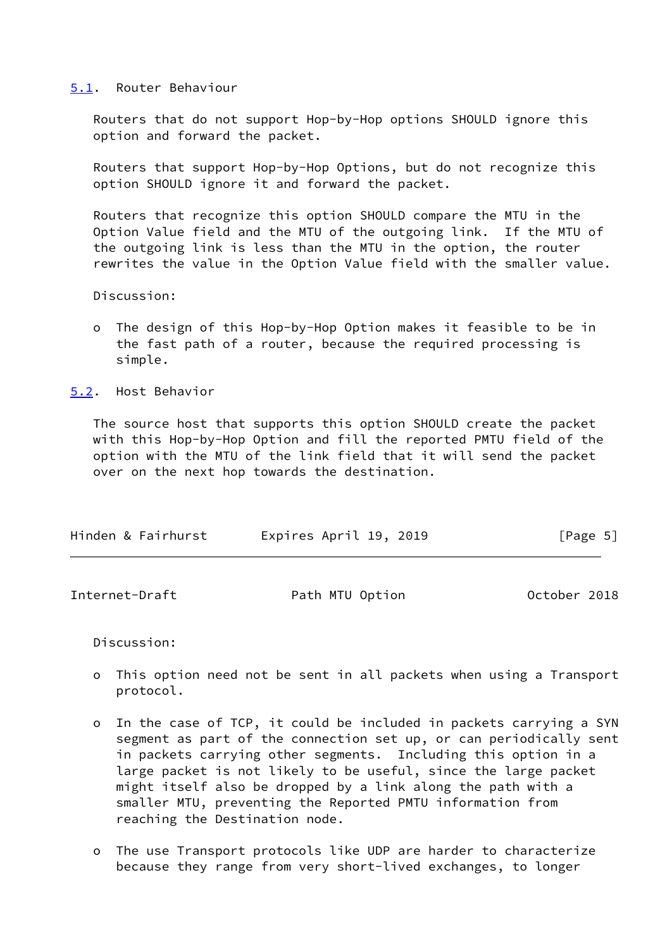## <span id="page-5-0"></span>[5.1](#page-5-0). Router Behaviour

 Routers that do not support Hop-by-Hop options SHOULD ignore this option and forward the packet.

 Routers that support Hop-by-Hop Options, but do not recognize this option SHOULD ignore it and forward the packet.

 Routers that recognize this option SHOULD compare the MTU in the Option Value field and the MTU of the outgoing link. If the MTU of the outgoing link is less than the MTU in the option, the router rewrites the value in the Option Value field with the smaller value.

Discussion:

 o The design of this Hop-by-Hop Option makes it feasible to be in the fast path of a router, because the required processing is simple.

<span id="page-5-1"></span>[5.2](#page-5-1). Host Behavior

 The source host that supports this option SHOULD create the packet with this Hop-by-Hop Option and fill the reported PMTU field of the option with the MTU of the link field that it will send the packet over on the next hop towards the destination.

| Hinden & Fairhurst | Expires April 19, 2019 | [Page 5] |
|--------------------|------------------------|----------|
|                    |                        |          |

Discussion:

- o This option need not be sent in all packets when using a Transport protocol.
- o In the case of TCP, it could be included in packets carrying a SYN segment as part of the connection set up, or can periodically sent in packets carrying other segments. Including this option in a large packet is not likely to be useful, since the large packet might itself also be dropped by a link along the path with a smaller MTU, preventing the Reported PMTU information from reaching the Destination node.
- o The use Transport protocols like UDP are harder to characterize because they range from very short-lived exchanges, to longer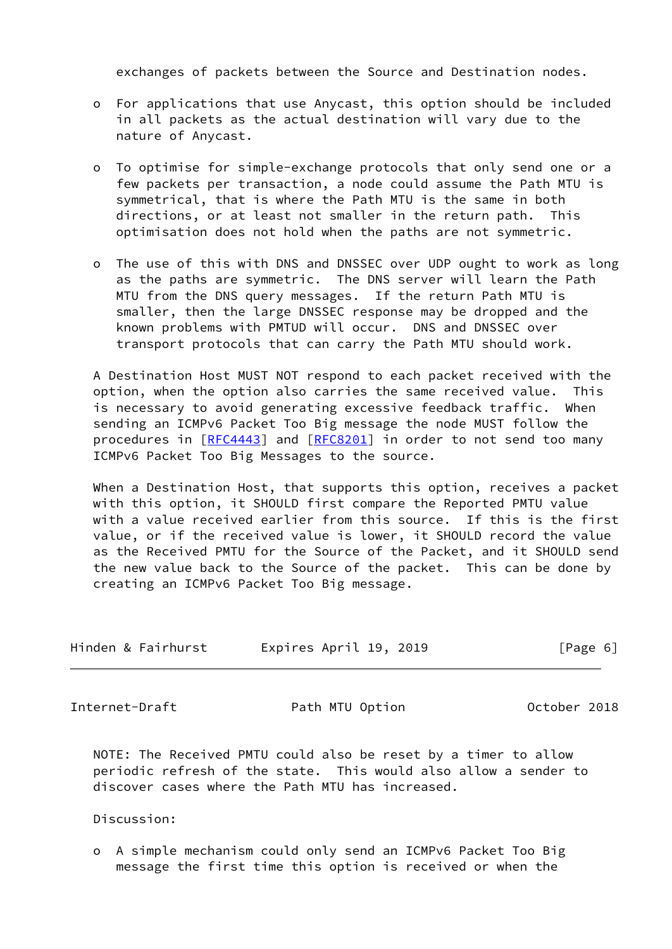exchanges of packets between the Source and Destination nodes.

- o For applications that use Anycast, this option should be included in all packets as the actual destination will vary due to the nature of Anycast.
- o To optimise for simple-exchange protocols that only send one or a few packets per transaction, a node could assume the Path MTU is symmetrical, that is where the Path MTU is the same in both directions, or at least not smaller in the return path. This optimisation does not hold when the paths are not symmetric.
- o The use of this with DNS and DNSSEC over UDP ought to work as long as the paths are symmetric. The DNS server will learn the Path MTU from the DNS query messages. If the return Path MTU is smaller, then the large DNSSEC response may be dropped and the known problems with PMTUD will occur. DNS and DNSSEC over transport protocols that can carry the Path MTU should work.

 A Destination Host MUST NOT respond to each packet received with the option, when the option also carries the same received value. This is necessary to avoid generating excessive feedback traffic. When sending an ICMPv6 Packet Too Big message the node MUST follow the procedures in [[RFC4443](https://datatracker.ietf.org/doc/pdf/rfc4443)] and [\[RFC8201](https://datatracker.ietf.org/doc/pdf/rfc8201)] in order to not send too many ICMPv6 Packet Too Big Messages to the source.

 When a Destination Host, that supports this option, receives a packet with this option, it SHOULD first compare the Reported PMTU value with a value received earlier from this source. If this is the first value, or if the received value is lower, it SHOULD record the value as the Received PMTU for the Source of the Packet, and it SHOULD send the new value back to the Source of the packet. This can be done by creating an ICMPv6 Packet Too Big message.

| Hinden & Fairhurst | Expires April 19, 2019 | [Page 6] |
|--------------------|------------------------|----------|
|                    |                        |          |

<span id="page-6-0"></span>Internet-Draft **Path MTU Option** Path MTU Option October 2018

 NOTE: The Received PMTU could also be reset by a timer to allow periodic refresh of the state. This would also allow a sender to discover cases where the Path MTU has increased.

Discussion:

 o A simple mechanism could only send an ICMPv6 Packet Too Big message the first time this option is received or when the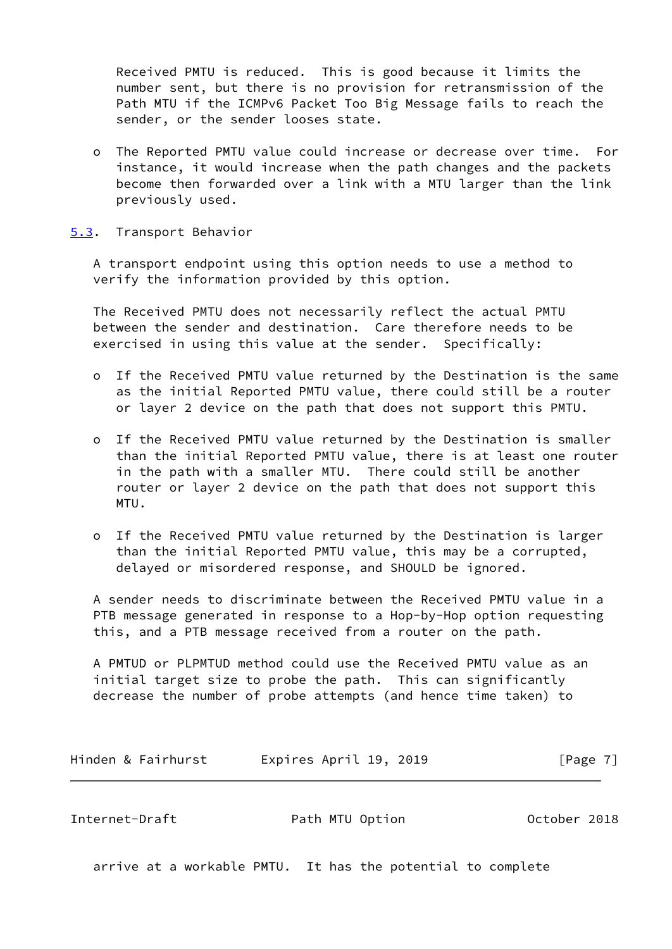Received PMTU is reduced. This is good because it limits the number sent, but there is no provision for retransmission of the Path MTU if the ICMPv6 Packet Too Big Message fails to reach the sender, or the sender looses state.

- o The Reported PMTU value could increase or decrease over time. For instance, it would increase when the path changes and the packets become then forwarded over a link with a MTU larger than the link previously used.
- <span id="page-7-0"></span>[5.3](#page-7-0). Transport Behavior

 A transport endpoint using this option needs to use a method to verify the information provided by this option.

 The Received PMTU does not necessarily reflect the actual PMTU between the sender and destination. Care therefore needs to be exercised in using this value at the sender. Specifically:

- o If the Received PMTU value returned by the Destination is the same as the initial Reported PMTU value, there could still be a router or layer 2 device on the path that does not support this PMTU.
- o If the Received PMTU value returned by the Destination is smaller than the initial Reported PMTU value, there is at least one router in the path with a smaller MTU. There could still be another router or layer 2 device on the path that does not support this MTU.
- o If the Received PMTU value returned by the Destination is larger than the initial Reported PMTU value, this may be a corrupted, delayed or misordered response, and SHOULD be ignored.

 A sender needs to discriminate between the Received PMTU value in a PTB message generated in response to a Hop-by-Hop option requesting this, and a PTB message received from a router on the path.

 A PMTUD or PLPMTUD method could use the Received PMTU value as an initial target size to probe the path. This can significantly decrease the number of probe attempts (and hence time taken) to

|  |  | Hinden & Fairhurst | Expires April 19, 2019 | [Page 7] |
|--|--|--------------------|------------------------|----------|
|--|--|--------------------|------------------------|----------|

<span id="page-7-1"></span>Internet-Draft Path MTU Option October 2018

arrive at a workable PMTU. It has the potential to complete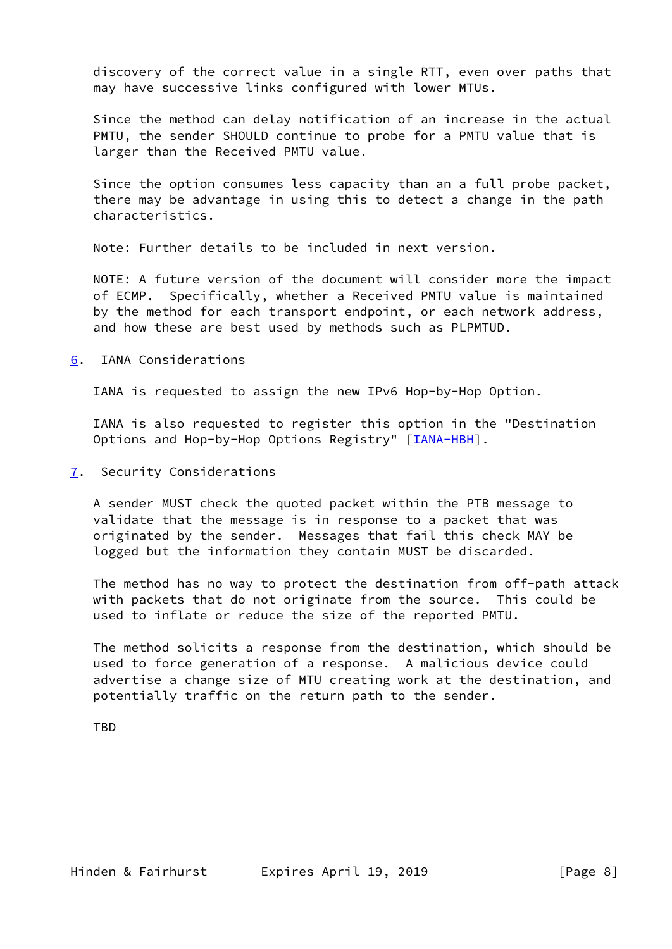discovery of the correct value in a single RTT, even over paths that may have successive links configured with lower MTUs.

 Since the method can delay notification of an increase in the actual PMTU, the sender SHOULD continue to probe for a PMTU value that is larger than the Received PMTU value.

 Since the option consumes less capacity than an a full probe packet, there may be advantage in using this to detect a change in the path characteristics.

Note: Further details to be included in next version.

 NOTE: A future version of the document will consider more the impact of ECMP. Specifically, whether a Received PMTU value is maintained by the method for each transport endpoint, or each network address, and how these are best used by methods such as PLPMTUD.

<span id="page-8-0"></span>[6](#page-8-0). IANA Considerations

IANA is requested to assign the new IPv6 Hop-by-Hop Option.

 IANA is also requested to register this option in the "Destination Options and Hop-by-Hop Options Registry" [\[IANA-HBH](#page-9-5)].

<span id="page-8-1"></span>[7](#page-8-1). Security Considerations

 A sender MUST check the quoted packet within the PTB message to validate that the message is in response to a packet that was originated by the sender. Messages that fail this check MAY be logged but the information they contain MUST be discarded.

 The method has no way to protect the destination from off-path attack with packets that do not originate from the source. This could be used to inflate or reduce the size of the reported PMTU.

 The method solicits a response from the destination, which should be used to force generation of a response. A malicious device could advertise a change size of MTU creating work at the destination, and potentially traffic on the return path to the sender.

**TBD**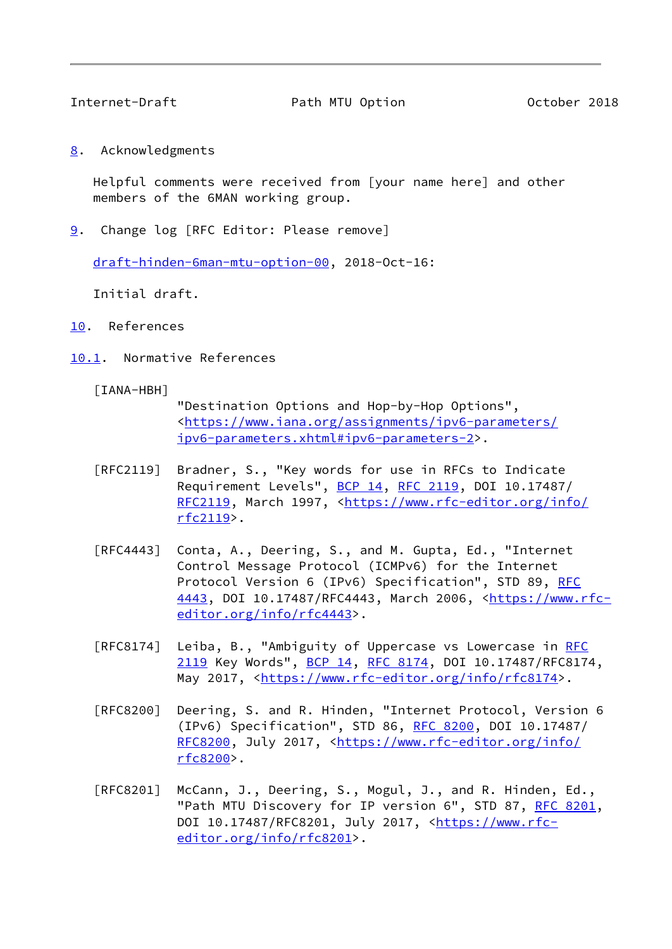<span id="page-9-1"></span>

Internet-Draft Path MTU Option October 2018

<span id="page-9-0"></span>[8](#page-9-0). Acknowledgments

 Helpful comments were received from [your name here] and other members of the 6MAN working group.

<span id="page-9-2"></span>[9](#page-9-2). Change log [RFC Editor: Please remove]

[draft-hinden-6man-mtu-option-00](https://datatracker.ietf.org/doc/pdf/draft-hinden-6man-mtu-option-00), 2018-Oct-16:

Initial draft.

- <span id="page-9-3"></span>[10.](#page-9-3) References
- <span id="page-9-4"></span>[10.1](#page-9-4). Normative References

<span id="page-9-5"></span>[IANA-HBH]

 "Destination Options and Hop-by-Hop Options", <[https://www.iana.org/assignments/ipv6-parameters/](https://www.iana.org/assignments/ipv6-parameters/ipv6-parameters.xhtml#ipv6-parameters-2) [ipv6-parameters.xhtml#ipv6-parameters-2](https://www.iana.org/assignments/ipv6-parameters/ipv6-parameters.xhtml#ipv6-parameters-2)>.

- [RFC2119] Bradner, S., "Key words for use in RFCs to Indicate Requirement Levels", <u>BCP 14</u>, [RFC 2119](https://datatracker.ietf.org/doc/pdf/rfc2119), DOI 10.17487/ [RFC2119](https://datatracker.ietf.org/doc/pdf/rfc2119), March 1997, [<https://www.rfc-editor.org/info/](https://www.rfc-editor.org/info/rfc2119) [rfc2119](https://www.rfc-editor.org/info/rfc2119)>.
- [RFC4443] Conta, A., Deering, S., and M. Gupta, Ed., "Internet Control Message Protocol (ICMPv6) for the Internet Protocol Version 6 (IPv6) Specification", STD 89, [RFC](https://datatracker.ietf.org/doc/pdf/rfc4443) [4443,](https://datatracker.ietf.org/doc/pdf/rfc4443) DOI 10.17487/RFC4443, March 2006, <[https://www.rfc](https://www.rfc-editor.org/info/rfc4443) [editor.org/info/rfc4443](https://www.rfc-editor.org/info/rfc4443)>.
- [RFC8174] Leiba, B., "Ambiguity of Uppercase vs Lowercase in [RFC](https://datatracker.ietf.org/doc/pdf/rfc2119) [2119](https://datatracker.ietf.org/doc/pdf/rfc2119) Key Words", [BCP 14](https://datatracker.ietf.org/doc/pdf/bcp14), [RFC 8174,](https://datatracker.ietf.org/doc/pdf/rfc8174) DOI 10.17487/RFC8174, May 2017, [<https://www.rfc-editor.org/info/rfc8174](https://www.rfc-editor.org/info/rfc8174)>.
- [RFC8200] Deering, S. and R. Hinden, "Internet Protocol, Version 6 (IPv6) Specification", STD 86, [RFC 8200](https://datatracker.ietf.org/doc/pdf/rfc8200), DOI 10.17487/ [RFC8200](https://datatracker.ietf.org/doc/pdf/rfc8200), July 2017, [<https://www.rfc-editor.org/info/](https://www.rfc-editor.org/info/rfc8200) [rfc8200](https://www.rfc-editor.org/info/rfc8200)>.
- [RFC8201] McCann, J., Deering, S., Mogul, J., and R. Hinden, Ed., "Path MTU Discovery for IP version 6", STD 87, [RFC 8201](https://datatracker.ietf.org/doc/pdf/rfc8201), DOI 10.17487/RFC8201, July 2017, [<https://www.rfc](https://www.rfc-editor.org/info/rfc8201) [editor.org/info/rfc8201](https://www.rfc-editor.org/info/rfc8201)>.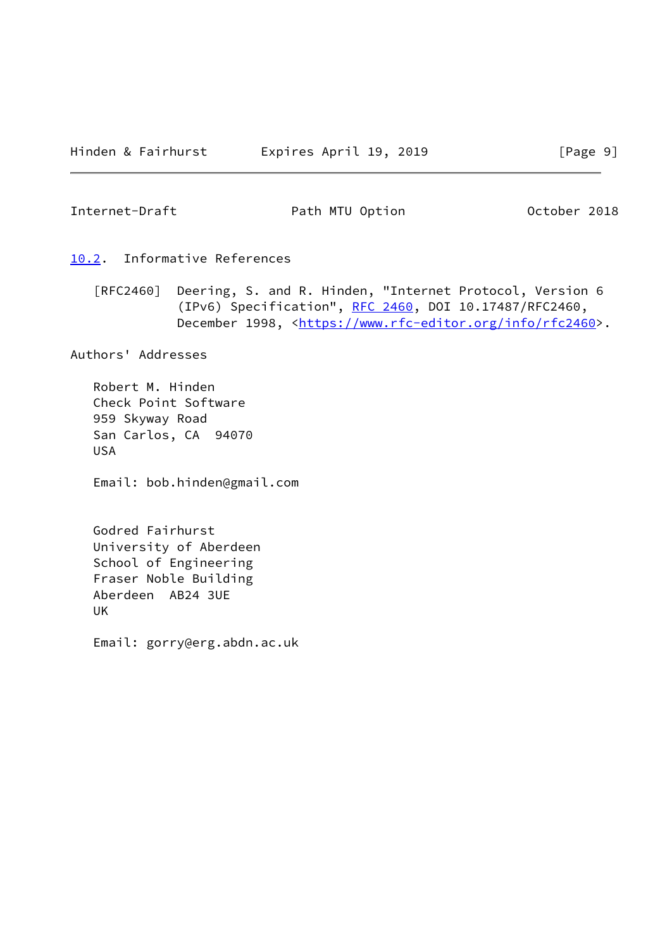<span id="page-10-1"></span>Internet-Draft **Path MTU Option** Path MTU Option October 2018

- <span id="page-10-0"></span>[10.2](#page-10-0). Informative References
	- [RFC2460] Deering, S. and R. Hinden, "Internet Protocol, Version 6 (IPv6) Specification", [RFC 2460](https://datatracker.ietf.org/doc/pdf/rfc2460), DOI 10.17487/RFC2460, December 1998, <<https://www.rfc-editor.org/info/rfc2460>>.

Authors' Addresses

 Robert M. Hinden Check Point Software 959 Skyway Road San Carlos, CA 94070 USA

Email: bob.hinden@gmail.com

 Godred Fairhurst University of Aberdeen School of Engineering Fraser Noble Building Aberdeen AB24 3UE UK

Email: gorry@erg.abdn.ac.uk